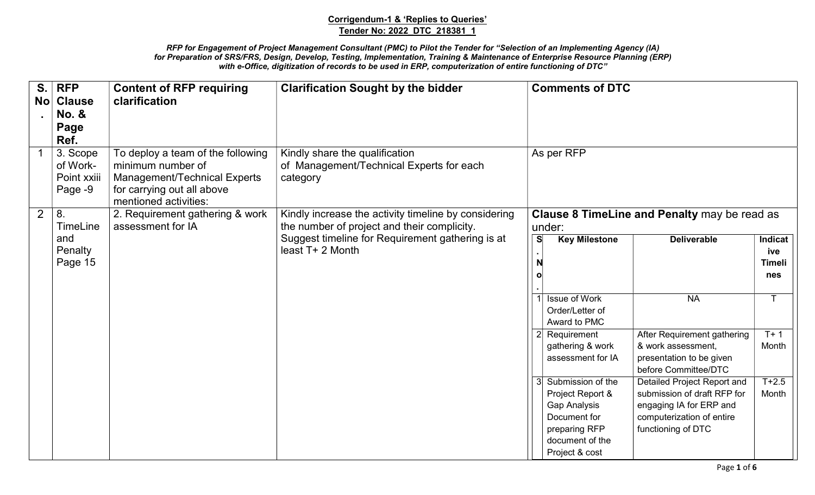| S.<br>No <sub>1</sub> | <b>RFP</b><br><b>Clause</b><br><b>No. &amp;</b><br>Page<br>Ref. | <b>Content of RFP requiring</b><br>clarification                                                                                                     | <b>Clarification Sought by the bidder</b>                                                           |               | <b>Comments of DTC</b>                                                                                                               |                                                                                                                                          |                                        |
|-----------------------|-----------------------------------------------------------------|------------------------------------------------------------------------------------------------------------------------------------------------------|-----------------------------------------------------------------------------------------------------|---------------|--------------------------------------------------------------------------------------------------------------------------------------|------------------------------------------------------------------------------------------------------------------------------------------|----------------------------------------|
|                       | 3. Scope<br>of Work-<br>Point xxiii<br>Page -9                  | To deploy a team of the following<br>minimum number of<br><b>Management/Technical Experts</b><br>for carrying out all above<br>mentioned activities: | Kindly share the qualification<br>of Management/Technical Experts for each<br>category              |               | As per RFP                                                                                                                           |                                                                                                                                          |                                        |
| 2                     | 8.<br>TimeLine                                                  | 2. Requirement gathering & work<br>assessment for IA                                                                                                 | Kindly increase the activity timeline by considering<br>the number of project and their complicity. |               | under:                                                                                                                               | Clause 8 TimeLine and Penalty may be read as                                                                                             |                                        |
|                       | and<br>Penalty<br>Page 15                                       |                                                                                                                                                      | Suggest timeline for Requirement gathering is at<br>least T+ 2 Month                                | <b>S</b><br>N | <b>Key Milestone</b>                                                                                                                 | <b>Deliverable</b>                                                                                                                       | Indicat<br>ive<br><b>Timeli</b><br>nes |
|                       |                                                                 |                                                                                                                                                      |                                                                                                     |               | <b>Issue of Work</b><br>Order/Letter of<br>Award to PMC                                                                              | <b>NA</b>                                                                                                                                |                                        |
|                       |                                                                 |                                                                                                                                                      |                                                                                                     |               | 2 Requirement<br>gathering & work<br>assessment for IA                                                                               | After Requirement gathering<br>& work assessment,<br>presentation to be given<br>before Committee/DTC                                    | $T+1$<br>Month                         |
|                       |                                                                 |                                                                                                                                                      |                                                                                                     |               | 3 Submission of the<br>Project Report &<br><b>Gap Analysis</b><br>Document for<br>preparing RFP<br>document of the<br>Project & cost | Detailed Project Report and<br>submission of draft RFP for<br>engaging IA for ERP and<br>computerization of entire<br>functioning of DTC | $T + 2.5$<br>Month                     |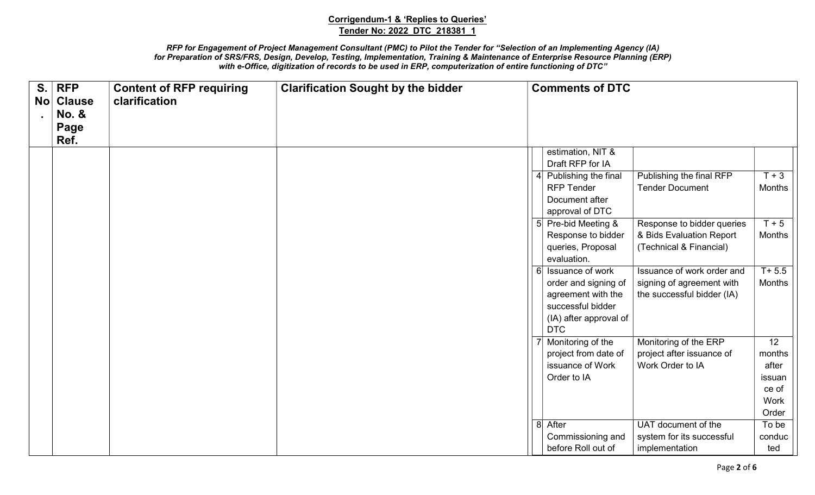| S. | <b>RFP</b><br>No Clause<br><b>No. &amp;</b><br>Page<br>Ref. | <b>Content of RFP requiring</b><br>clarification | <b>Clarification Sought by the bidder</b> | <b>Comments of DTC</b>                                                                                                        |                                                                                       |                                                           |
|----|-------------------------------------------------------------|--------------------------------------------------|-------------------------------------------|-------------------------------------------------------------------------------------------------------------------------------|---------------------------------------------------------------------------------------|-----------------------------------------------------------|
|    |                                                             |                                                  |                                           | estimation, NIT &<br>Draft RFP for IA<br>4 Publishing the final                                                               | Publishing the final RFP                                                              | $T+3$                                                     |
|    |                                                             |                                                  |                                           | <b>RFP Tender</b><br>Document after<br>approval of DTC                                                                        | <b>Tender Document</b>                                                                | Months                                                    |
|    |                                                             |                                                  |                                           | 5 Pre-bid Meeting &<br>Response to bidder<br>queries, Proposal<br>evaluation.                                                 | Response to bidder queries<br>& Bids Evaluation Report<br>(Technical & Financial)     | $T + 5$<br>Months                                         |
|    |                                                             |                                                  |                                           | 6 Issuance of work<br>order and signing of<br>agreement with the<br>successful bidder<br>(IA) after approval of<br><b>DTC</b> | Issuance of work order and<br>signing of agreement with<br>the successful bidder (IA) | $T + 5.5$<br>Months                                       |
|    |                                                             |                                                  |                                           | Monitoring of the<br>project from date of<br>issuance of Work<br>Order to IA                                                  | Monitoring of the ERP<br>project after issuance of<br>Work Order to IA                | 12<br>months<br>after<br>issuan<br>ce of<br>Work<br>Order |
|    |                                                             |                                                  |                                           | 8 After<br>Commissioning and<br>before Roll out of                                                                            | UAT document of the<br>system for its successful<br>implementation                    | To be<br>conduc<br>ted                                    |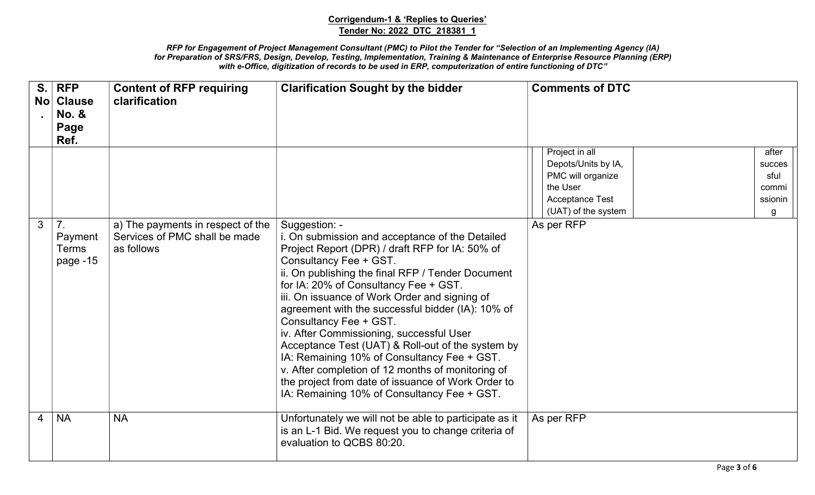| S.<br><b>No</b> | <b>RFP</b><br><b>Clause</b><br><b>No. &amp;</b><br>Page<br>Ref. | <b>Content of RFP requiring</b><br>clarification                                 | <b>Clarification Sought by the bidder</b>                                                                                                                                                                                                                                                                                                                                                                                                                                                                                                                                                                                                                                             | <b>Comments of DTC</b>                                                                                                  |                                                  |
|-----------------|-----------------------------------------------------------------|----------------------------------------------------------------------------------|---------------------------------------------------------------------------------------------------------------------------------------------------------------------------------------------------------------------------------------------------------------------------------------------------------------------------------------------------------------------------------------------------------------------------------------------------------------------------------------------------------------------------------------------------------------------------------------------------------------------------------------------------------------------------------------|-------------------------------------------------------------------------------------------------------------------------|--------------------------------------------------|
|                 |                                                                 |                                                                                  |                                                                                                                                                                                                                                                                                                                                                                                                                                                                                                                                                                                                                                                                                       | Project in all<br>Depots/Units by IA,<br>PMC will organize<br>the User<br><b>Acceptance Test</b><br>(UAT) of the system | after<br>succes<br>sful<br>commi<br>ssionin<br>g |
| 3               | 7 <sub>1</sub><br>Payment<br><b>Terms</b><br>page -15           | a) The payments in respect of the<br>Services of PMC shall be made<br>as follows | Suggestion: -<br>i. On submission and acceptance of the Detailed<br>Project Report (DPR) / draft RFP for IA: 50% of<br>Consultancy Fee + GST.<br>ii. On publishing the final RFP / Tender Document<br>for IA: 20% of Consultancy Fee + GST.<br>iii. On issuance of Work Order and signing of<br>agreement with the successful bidder (IA): 10% of<br>Consultancy Fee + GST.<br>iv. After Commissioning, successful User<br>Acceptance Test (UAT) & Roll-out of the system by<br>IA: Remaining 10% of Consultancy Fee + GST.<br>v. After completion of 12 months of monitoring of<br>the project from date of issuance of Work Order to<br>IA: Remaining 10% of Consultancy Fee + GST. | As per RFP                                                                                                              |                                                  |
| $\overline{4}$  | <b>NA</b>                                                       | <b>NA</b>                                                                        | Unfortunately we will not be able to participate as it<br>is an L-1 Bid. We request you to change criteria of<br>evaluation to QCBS 80:20.                                                                                                                                                                                                                                                                                                                                                                                                                                                                                                                                            | As per RFP                                                                                                              |                                                  |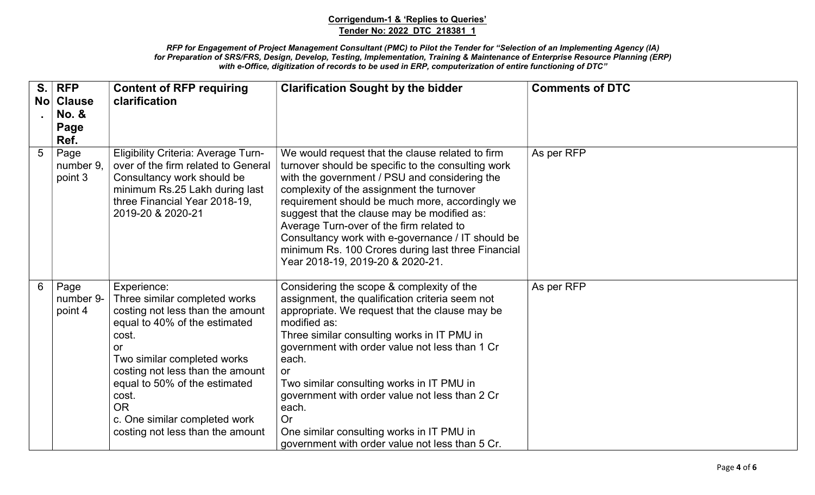| S.             | <b>RFP</b><br>No Clause<br><b>No. &amp;</b><br>Page | <b>Content of RFP requiring</b><br>clarification                                                                                                                                                                                                                                                                                | <b>Clarification Sought by the bidder</b>                                                                                                                                                                                                                                                                                                                                                                                                                                                                  | <b>Comments of DTC</b> |
|----------------|-----------------------------------------------------|---------------------------------------------------------------------------------------------------------------------------------------------------------------------------------------------------------------------------------------------------------------------------------------------------------------------------------|------------------------------------------------------------------------------------------------------------------------------------------------------------------------------------------------------------------------------------------------------------------------------------------------------------------------------------------------------------------------------------------------------------------------------------------------------------------------------------------------------------|------------------------|
| $5\phantom{.}$ | Ref.<br>Page<br>number 9.<br>point 3                | <b>Eligibility Criteria: Average Turn-</b><br>over of the firm related to General<br>Consultancy work should be<br>minimum Rs.25 Lakh during last<br>three Financial Year 2018-19,<br>2019-20 & 2020-21                                                                                                                         | We would request that the clause related to firm<br>turnover should be specific to the consulting work<br>with the government / PSU and considering the<br>complexity of the assignment the turnover<br>requirement should be much more, accordingly we<br>suggest that the clause may be modified as:<br>Average Turn-over of the firm related to<br>Consultancy work with e-governance / IT should be<br>minimum Rs. 100 Crores during last three Financial<br>Year 2018-19, 2019-20 & 2020-21.          | As per RFP             |
| 6              | Page<br>number 9-<br>point 4                        | Experience:<br>Three similar completed works<br>costing not less than the amount<br>equal to 40% of the estimated<br>cost.<br>or<br>Two similar completed works<br>costing not less than the amount<br>equal to 50% of the estimated<br>cost.<br><b>OR</b><br>c. One similar completed work<br>costing not less than the amount | Considering the scope & complexity of the<br>assignment, the qualification criteria seem not<br>appropriate. We request that the clause may be<br>modified as:<br>Three similar consulting works in IT PMU in<br>government with order value not less than 1 Cr<br>each.<br><b>or</b><br>Two similar consulting works in IT PMU in<br>government with order value not less than 2 Cr<br>each.<br><b>Or</b><br>One similar consulting works in IT PMU in<br>government with order value not less than 5 Cr. | As per RFP             |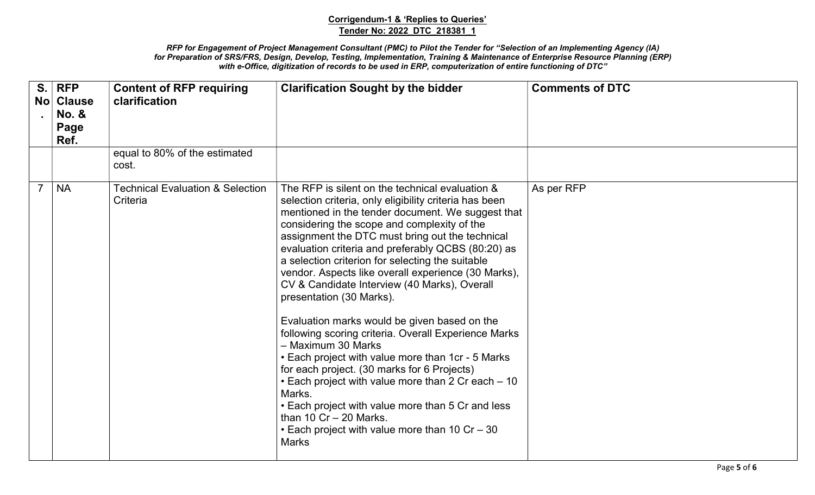| S.<br>Nol | <b>RFP</b><br><b>Clause</b><br><b>No. &amp;</b><br>Page<br>Ref. | <b>Content of RFP requiring</b><br>clarification        | <b>Clarification Sought by the bidder</b>                                                                                                                                                                                                                                                                                                                                                                                                                                                                                                                                                                                                                                                                                                                                                                                                                                                                                                                          | <b>Comments of DTC</b> |
|-----------|-----------------------------------------------------------------|---------------------------------------------------------|--------------------------------------------------------------------------------------------------------------------------------------------------------------------------------------------------------------------------------------------------------------------------------------------------------------------------------------------------------------------------------------------------------------------------------------------------------------------------------------------------------------------------------------------------------------------------------------------------------------------------------------------------------------------------------------------------------------------------------------------------------------------------------------------------------------------------------------------------------------------------------------------------------------------------------------------------------------------|------------------------|
|           |                                                                 | equal to 80% of the estimated<br>cost.                  |                                                                                                                                                                                                                                                                                                                                                                                                                                                                                                                                                                                                                                                                                                                                                                                                                                                                                                                                                                    |                        |
|           | <b>NA</b>                                                       | <b>Technical Evaluation &amp; Selection</b><br>Criteria | The RFP is silent on the technical evaluation &<br>selection criteria, only eligibility criteria has been<br>mentioned in the tender document. We suggest that<br>considering the scope and complexity of the<br>assignment the DTC must bring out the technical<br>evaluation criteria and preferably QCBS (80:20) as<br>a selection criterion for selecting the suitable<br>vendor. Aspects like overall experience (30 Marks),<br>CV & Candidate Interview (40 Marks), Overall<br>presentation (30 Marks).<br>Evaluation marks would be given based on the<br>following scoring criteria. Overall Experience Marks<br>- Maximum 30 Marks<br>• Each project with value more than 1cr - 5 Marks<br>for each project. (30 marks for 6 Projects)<br>• Each project with value more than 2 Cr each – 10<br>Marks.<br>• Each project with value more than 5 Cr and less<br>than 10 $Cr - 20$ Marks.<br>• Each project with value more than 10 Cr - 30<br><b>Marks</b> | As per RFP             |